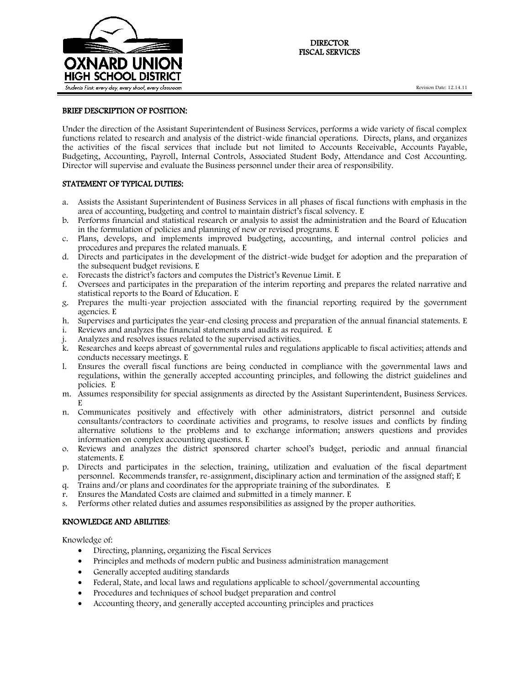

## BRIEF DESCRIPTION OF POSITION:

Under the direction of the Assistant Superintendent of Business Services, performs a wide variety of fiscal complex functions related to research and analysis of the district-wide financial operations. Directs, plans, and organizes the activities of the fiscal services that include but not limited to Accounts Receivable, Accounts Payable, Budgeting, Accounting, Payroll, Internal Controls, Associated Student Body, Attendance and Cost Accounting. Director will supervise and evaluate the Business personnel under their area of responsibility.

# STATEMENT OF TYPICAL DUTIES:

- a. Assists the Assistant Superintendent of Business Services in all phases of fiscal functions with emphasis in the area of accounting, budgeting and control to maintain district's fiscal solvency. E
- b. Performs financial and statistical research or analysis to assist the administration and the Board of Education in the formulation of policies and planning of new or revised programs. E
- c. Plans, develops, and implements improved budgeting, accounting, and internal control policies and procedures and prepares the related manuals. E
- d. Directs and participates in the development of the district-wide budget for adoption and the preparation of the subsequent budget revisions. E
- e. Forecasts the district's factors and computes the District's Revenue Limit. E
- f. Oversees and participates in the preparation of the interim reporting and prepares the related narrative and statistical reports to the Board of Education. E
- g. Prepares the multi-year projection associated with the financial reporting required by the government agencies. E
- h. Supervises and participates the year-end closing process and preparation of the annual financial statements. E
- i. Reviews and analyzes the financial statements and audits as required. E
- Analyzes and resolves issues related to the supervised activities.
- k. Researches and keeps abreast of governmental rules and regulations applicable to fiscal activities; attends and conducts necessary meetings. E
- l. Ensures the overall fiscal functions are being conducted in compliance with the governmental laws and regulations, within the generally accepted accounting principles, and following the district guidelines and policies. E
- m. Assumes responsibility for special assignments as directed by the Assistant Superintendent, Business Services. E
- n. Communicates positively and effectively with other administrators, district personnel and outside consultants/contractors to coordinate activities and programs, to resolve issues and conflicts by finding alternative solutions to the problems and to exchange information; answers questions and provides information on complex accounting questions. E
- o. Reviews and analyzes the district sponsored charter school's budget, periodic and annual financial statements. E
- p. Directs and participates in the selection, training, utilization and evaluation of the fiscal department personnel. Recommends transfer, re-assignment, disciplinary action and termination of the assigned staff; E
- q. Trains and/or plans and coordinates for the appropriate training of the subordinates. E
- r. Ensures the Mandated Costs are claimed and submitted in a timely manner. E
- s. Performs other related duties and assumes responsibilities as assigned by the proper authorities.

#### KNOWLEDGE AND ABILITIES:

Knowledge of:

- Directing, planning, organizing the Fiscal Services
- Principles and methods of modern public and business administration management
- Generally accepted auditing standards
- Federal, State, and local laws and regulations applicable to school/governmental accounting
- Procedures and techniques of school budget preparation and control
- Accounting theory, and generally accepted accounting principles and practices